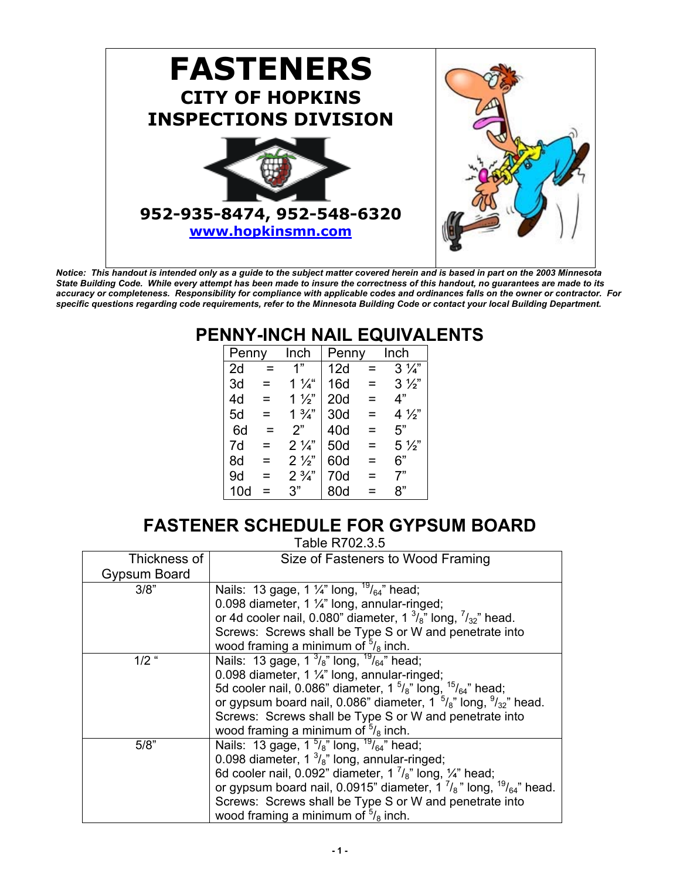

*Notice: This handout is intended only as a guide to the subject matter covered herein and is based in part on the 2003 Minnesota State Building Code. While every attempt has been made to insure the correctness of this handout, no guarantees are made to its accuracy or completeness. Responsibility for compliance with applicable codes and ordinances falls on the owner or contractor. For specific questions regarding code requirements, refer to the Minnesota Building Code or contact your local Building Department.*

### **PENNY-INCH NAIL EQUIVALENTS**

| Penny |     | Inch           | Penny           |     | Inch           |
|-------|-----|----------------|-----------------|-----|----------------|
| 2d    | $=$ | 1"             | 12d             | $=$ | $3\frac{1}{4}$ |
| 3d    | =   | $1\frac{1}{4}$ | 16d             | =   | $3\frac{1}{2}$ |
| 4d    | =   | $1\frac{1}{2}$ | 20 <sub>d</sub> | =   | 4"             |
| 5d    | =   | $1\frac{3}{4}$ | 30d             | =   | $4\frac{1}{2}$ |
| 6d    | =   | 2"             | 40d             | =   | 5"             |
| 7d    | =   | $2\frac{1}{4}$ | 50d             | =   | $5\frac{1}{2}$ |
| 8d    | =   | $2\frac{1}{2}$ | 60d             | =   | 6"             |
| 9d    | =   | $2\frac{3}{4}$ | 70d             | =   | 7"             |
| 10d   | =   | 3"             | 80d             |     | 8"             |

### **FASTENER SCHEDULE FOR GYPSUM BOARD**

Table R702.3.5

| Thickness of | Size of Fasteners to Wood Framing                                                  |
|--------------|------------------------------------------------------------------------------------|
| Gypsum Board |                                                                                    |
| 3/8"         | Nails: 13 gage, 1 $\frac{1}{4}$ " long, $\frac{19}{64}$ " head;                    |
|              | 0.098 diameter, 1 $\frac{1}{4}$ " long, annular-ringed;                            |
|              | or 4d cooler nail, 0.080" diameter, $1 \frac{3}{8}$ " long, $\frac{7}{32}$ " head. |
|              | Screws: Screws shall be Type S or W and penetrate into                             |
|              | wood framing a minimum of $5/8$ inch.                                              |
| $1/2$ "      | Nails: 13 gage, $1 \frac{3}{8}$ " long, $\frac{19}{64}$ " head;                    |
|              | 0.098 diameter, 1 $\frac{1}{4}$ " long, annular-ringed;                            |
|              | 5d cooler nail, 0.086" diameter, $1\frac{5}{8}$ " long, $1\frac{5}{6}$ 4" head;    |
|              | or gypsum board nail, 0.086" diameter, $1^{5}/_8$ " long, $9/32$ " head.           |
|              | Screws: Screws shall be Type S or W and penetrate into                             |
|              | wood framing a minimum of $\frac{5}{8}$ inch.                                      |
| 5/8"         | Nails: 13 gage, $1\frac{5}{8}$ " long, $\frac{19}{64}$ " head;                     |
|              | 0.098 diameter, $1 \frac{3}{8}$ " long, annular-ringed;                            |
|              | 6d cooler nail, 0.092" diameter, 1 $\frac{7}{8}$ " long, 1/4" head;                |
|              | or gypsum board nail, 0.0915" diameter, $1 \frac{7}{8}$ " long, $19/64$ " head.    |
|              | Screws: Screws shall be Type S or W and penetrate into                             |
|              | wood framing a minimum of $5/8$ inch.                                              |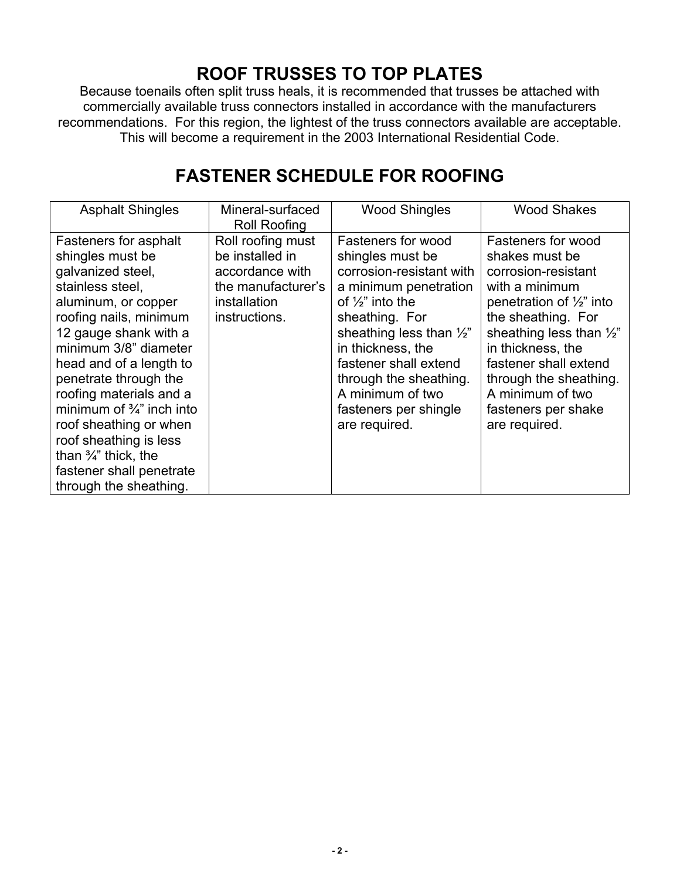## **ROOF TRUSSES TO TOP PLATES**

Because toenails often split truss heals, it is recommended that trusses be attached with commercially available truss connectors installed in accordance with the manufacturers recommendations. For this region, the lightest of the truss connectors available are acceptable. This will become a requirement in the 2003 International Residential Code.

### **FASTENER SCHEDULE FOR ROOFING**

| <b>Asphalt Shingles</b>                                                                                                                                                                                                                                                                                                                                                                                                                                   | Mineral-surfaced<br><b>Roll Roofing</b>                                                                        | <b>Wood Shingles</b>                                                                                                                                                                                                                                                                                                             | <b>Wood Shakes</b>                                                                                                                                                                                                                                                                                                    |
|-----------------------------------------------------------------------------------------------------------------------------------------------------------------------------------------------------------------------------------------------------------------------------------------------------------------------------------------------------------------------------------------------------------------------------------------------------------|----------------------------------------------------------------------------------------------------------------|----------------------------------------------------------------------------------------------------------------------------------------------------------------------------------------------------------------------------------------------------------------------------------------------------------------------------------|-----------------------------------------------------------------------------------------------------------------------------------------------------------------------------------------------------------------------------------------------------------------------------------------------------------------------|
| Fasteners for asphalt<br>shingles must be<br>galvanized steel,<br>stainless steel,<br>aluminum, or copper<br>roofing nails, minimum<br>12 gauge shank with a<br>minimum 3/8" diameter<br>head and of a length to<br>penetrate through the<br>roofing materials and a<br>minimum of $\frac{3}{4}$ " inch into<br>roof sheathing or when<br>roof sheathing is less<br>than $\frac{3}{4}$ " thick, the<br>fastener shall penetrate<br>through the sheathing. | Roll roofing must<br>be installed in<br>accordance with<br>the manufacturer's<br>installation<br>instructions. | <b>Fasteners for wood</b><br>shingles must be<br>corrosion-resistant with<br>a minimum penetration<br>of $\frac{1}{2}$ " into the<br>sheathing. For<br>sheathing less than $\frac{1}{2}$ "<br>in thickness, the<br>fastener shall extend<br>through the sheathing.<br>A minimum of two<br>fasteners per shingle<br>are required. | Fasteners for wood<br>shakes must be<br>corrosion-resistant<br>with a minimum<br>penetration of $\frac{1}{2}$ " into<br>the sheathing. For<br>sheathing less than $\frac{1}{2}$ "<br>in thickness, the<br>fastener shall extend<br>through the sheathing.<br>A minimum of two<br>fasteners per shake<br>are required. |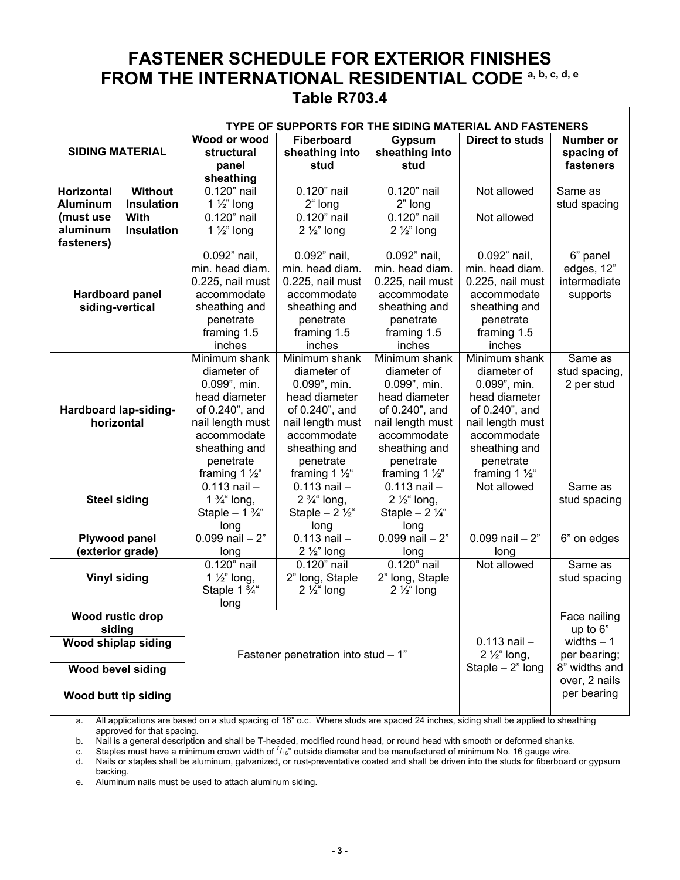### **FASTENER SCHEDULE FOR EXTERIOR FINISHES FROM THE INTERNATIONAL RESIDENTIAL CODE a, b, c, d, e Table R703.4**

|                                                          |                                         |                                                                                                                                                                               |                                                                                                                                                                               |                                                                                                                                                                               | <b>TYPE OF SUPPORTS FOR THE SIDING MATERIAL AND FASTENERS</b>                                                                                                               |                                                         |
|----------------------------------------------------------|-----------------------------------------|-------------------------------------------------------------------------------------------------------------------------------------------------------------------------------|-------------------------------------------------------------------------------------------------------------------------------------------------------------------------------|-------------------------------------------------------------------------------------------------------------------------------------------------------------------------------|-----------------------------------------------------------------------------------------------------------------------------------------------------------------------------|---------------------------------------------------------|
| <b>SIDING MATERIAL</b>                                   |                                         | Wood or wood<br>structural<br>panel<br>sheathing                                                                                                                              | <b>Fiberboard</b><br>sheathing into<br>stud                                                                                                                                   | <b>Gypsum</b><br>sheathing into<br>stud                                                                                                                                       | <b>Direct to studs</b>                                                                                                                                                      | <b>Number or</b><br>spacing of<br>fasteners             |
| <b>Horizontal</b>                                        | <b>Without</b>                          | 0.120" nail                                                                                                                                                                   | $0.120$ " nail                                                                                                                                                                | 0.120" nail                                                                                                                                                                   | Not allowed                                                                                                                                                                 | Same as                                                 |
| <b>Aluminum</b><br>(must use<br>aluminum<br>fasteners)   | Insulation<br>With<br><b>Insulation</b> | 1 $\frac{1}{2}$ " long<br>0.120" nail<br>1 $\frac{1}{2}$ " long                                                                                                               | 2" long<br>0.120" nail<br>$2\frac{1}{2}$ " long                                                                                                                               | 2" long<br>0.120" nail<br>$2\frac{1}{2}$ " long                                                                                                                               | Not allowed                                                                                                                                                                 | stud spacing                                            |
| <b>Hardboard panel</b><br>siding-vertical                |                                         | 0.092" nail,<br>min. head diam.<br>0.225, nail must<br>accommodate<br>sheathing and<br>penetrate<br>framing 1.5<br>inches                                                     | 0.092" nail,<br>min. head diam.<br>0.225, nail must<br>accommodate<br>sheathing and<br>penetrate<br>framing 1.5<br>inches                                                     | 0.092" nail,<br>min. head diam.<br>0.225, nail must<br>accommodate<br>sheathing and<br>penetrate<br>framing 1.5<br>inches                                                     | $0.092$ " nail.<br>min. head diam.<br>0.225, nail must<br>accommodate<br>sheathing and<br>penetrate<br>framing 1.5<br>inches                                                | 6" panel<br>edges, 12"<br>intermediate<br>supports      |
| Hardboard lap-siding-<br>horizontal                      |                                         | Minimum shank<br>diameter of<br>0.099", min.<br>head diameter<br>of 0.240", and<br>nail length must<br>accommodate<br>sheathing and<br>penetrate<br>framing 1 $\frac{1}{2}$ " | Minimum shank<br>diameter of<br>0.099", min.<br>head diameter<br>of 0.240", and<br>nail length must<br>accommodate<br>sheathing and<br>penetrate<br>framing 1 $\frac{1}{2}$ " | Minimum shank<br>diameter of<br>0.099", min.<br>head diameter<br>of 0.240", and<br>nail length must<br>accommodate<br>sheathing and<br>penetrate<br>framing 1 $\frac{1}{2}$ " | Minimum shank<br>diameter of<br>0.099", min.<br>head diameter<br>of 0.240", and<br>nail length must<br>accommodate<br>sheathing and<br>penetrate<br>framing 1 $\frac{1}{2}$ | Same as<br>stud spacing,<br>2 per stud                  |
| <b>Steel siding</b>                                      |                                         | $0.113$ nail $-$<br>1 $\frac{3}{4}$ long,<br>Staple $-1\frac{3}{4}$ "<br>long                                                                                                 | $0.113$ nail $-$<br>$2\frac{3}{4}$ " long,<br>Staple $-2\frac{1}{2}$ "<br>long                                                                                                | $0.113$ nail $-$<br>$2\frac{1}{2}$ long,<br>Staple $-2\frac{1}{4}$ "<br>long                                                                                                  | Not allowed                                                                                                                                                                 | Same as<br>stud spacing                                 |
| Plywood panel<br>(exterior grade)                        |                                         | $0.099$ nail $-2$ "<br>long                                                                                                                                                   | $0.113$ nail $-$<br>$2\frac{1}{2}$ " long                                                                                                                                     | $0.099$ nail $-2$ "<br>long                                                                                                                                                   | $0.099$ nail $-2"$<br>long                                                                                                                                                  | 6" on edges                                             |
| <b>Vinyl siding</b>                                      |                                         | $0.120"$ nail<br>1 $\frac{1}{2}$ " long,<br>Staple 1 3/4"<br>long                                                                                                             | $0.120$ " nail<br>2" long, Staple<br>$2\frac{1}{2}$ long                                                                                                                      | 0.120" nail<br>2" long, Staple<br>$2\frac{1}{2}$ long                                                                                                                         | Not allowed                                                                                                                                                                 | Same as<br>stud spacing                                 |
| <b>Wood rustic drop</b><br>siding<br>Wood shiplap siding |                                         | Fastener penetration into stud - 1"                                                                                                                                           |                                                                                                                                                                               |                                                                                                                                                                               | $0.113$ nail $-$<br>2 $\frac{1}{2}$ long,                                                                                                                                   | Face nailing<br>up to 6"<br>widths $-1$<br>per bearing; |
| <b>Wood bevel siding</b><br>Wood butt tip siding         |                                         |                                                                                                                                                                               |                                                                                                                                                                               | Staple $-2$ " long                                                                                                                                                            | 8" widths and<br>over, 2 nails<br>per bearing                                                                                                                               |                                                         |

a. All applications are based on a stud spacing of 16" o.c. Where studs are spaced 24 inches, siding shall be applied to sheathing approved for that spacing.

b. Nail is a general description and shall be T-headed, modified round head, or round head with smooth or deformed shanks.<br>c. Staples must have a minimum crown width of 1/<sub>16</sub>" outside diameter and be manufactured of minim

d. Nails or staples shall be aluminum, galvanized, or rust-preventative coated and shall be driven into the studs for fiberboard or gypsum backing.

e. Aluminum nails must be used to attach aluminum siding.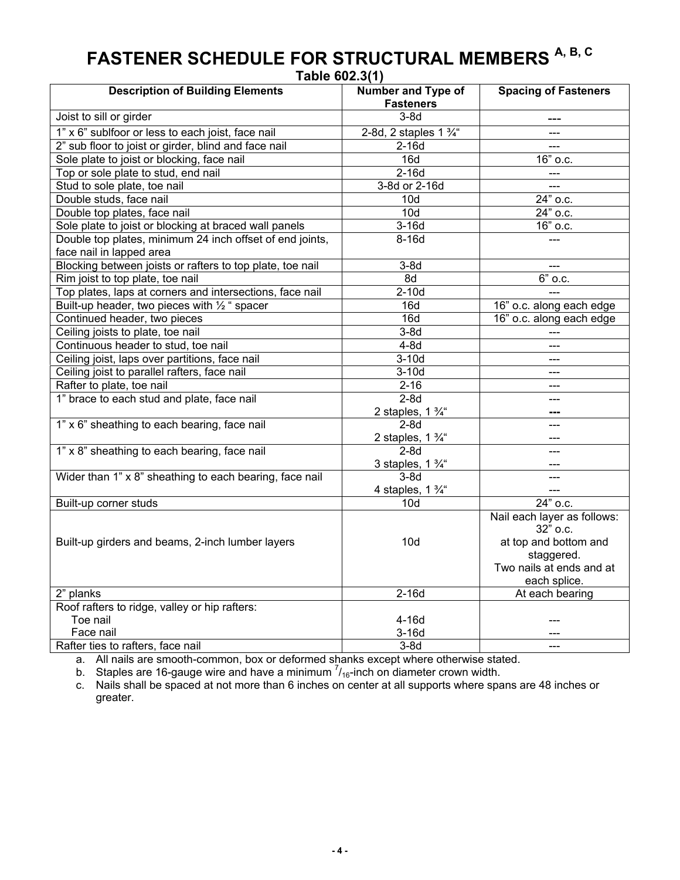| Table 602.3(1)                                                                                  |                                                                                                                            |  |  |  |  |
|-------------------------------------------------------------------------------------------------|----------------------------------------------------------------------------------------------------------------------------|--|--|--|--|
| <b>Description of Building Elements</b><br>Number and Type of<br><b>Fasteners</b>               | <b>Spacing of Fasteners</b>                                                                                                |  |  |  |  |
| Joist to sill or girder<br>$3-8d$                                                               | ---                                                                                                                        |  |  |  |  |
| 2-8d, 2 staples $1\frac{3}{4}$<br>1" x 6" sublfoor or less to each joist, face nail             |                                                                                                                            |  |  |  |  |
| 2" sub floor to joist or girder, blind and face nail<br>$2-16d$                                 | $---$                                                                                                                      |  |  |  |  |
| Sole plate to joist or blocking, face nail<br>16d                                               | 16" o.c.                                                                                                                   |  |  |  |  |
| $2-16d$<br>Top or sole plate to stud, end nail                                                  | $\overline{a}$                                                                                                             |  |  |  |  |
| 3-8d or 2-16d<br>Stud to sole plate, toe nail                                                   | <u>.</u>                                                                                                                   |  |  |  |  |
| Double studs, face nail<br>10d                                                                  | $\overline{24}$ " o.c.                                                                                                     |  |  |  |  |
| 10d<br>Double top plates, face nail                                                             | 24" o.c.                                                                                                                   |  |  |  |  |
| Sole plate to joist or blocking at braced wall panels<br>$3-16d$                                | $\overline{1}6"$ o.c.                                                                                                      |  |  |  |  |
| Double top plates, minimum 24 inch offset of end joints,<br>$8-16d$<br>face nail in lapped area |                                                                                                                            |  |  |  |  |
| Blocking between joists or rafters to top plate, toe nail<br>$3-8d$                             |                                                                                                                            |  |  |  |  |
| Rim joist to top plate, toe nail<br>8d                                                          | $\overline{6}$ " o.c.                                                                                                      |  |  |  |  |
| Top plates, laps at corners and intersections, face nail<br>$2-10d$                             | $---$                                                                                                                      |  |  |  |  |
| Built-up header, two pieces with 1/2 " spacer<br>16d                                            | 16" o.c. along each edge                                                                                                   |  |  |  |  |
| Continued header, two pieces<br>16d                                                             | 16" o.c. along each edge                                                                                                   |  |  |  |  |
| Ceiling joists to plate, toe nail<br>$3-8d$                                                     |                                                                                                                            |  |  |  |  |
| Continuous header to stud, toe nail<br>$4-8d$                                                   | ---                                                                                                                        |  |  |  |  |
| $3-10d$<br>Ceiling joist, laps over partitions, face nail                                       | ---                                                                                                                        |  |  |  |  |
| $3-10d$<br>Ceiling joist to parallel rafters, face nail                                         | $---$                                                                                                                      |  |  |  |  |
| Rafter to plate, toe nail<br>$2 - 16$                                                           | $---$                                                                                                                      |  |  |  |  |
| 1" brace to each stud and plate, face nail<br>$2-8d$                                            | ---                                                                                                                        |  |  |  |  |
| 2 staples, 1 $\frac{3}{4}$ "                                                                    |                                                                                                                            |  |  |  |  |
| 1" x 6" sheathing to each bearing, face nail<br>$2-8d$                                          | ---                                                                                                                        |  |  |  |  |
| 2 staples, $1\frac{3}{4}$                                                                       |                                                                                                                            |  |  |  |  |
| 1" x 8" sheathing to each bearing, face nail<br>$2-8d$                                          |                                                                                                                            |  |  |  |  |
| 3 staples, $1\frac{3}{4}$ "                                                                     |                                                                                                                            |  |  |  |  |
| Wider than 1" x 8" sheathing to each bearing, face nail<br>$3-8d$                               | $---$                                                                                                                      |  |  |  |  |
| 4 staples, $1\frac{3}{4}$ "                                                                     |                                                                                                                            |  |  |  |  |
| Built-up corner studs<br>10d                                                                    | $24"$ o.c.                                                                                                                 |  |  |  |  |
| 10d<br>Built-up girders and beams, 2-inch lumber layers                                         | Nail each layer as follows:<br>32" o.c.<br>at top and bottom and<br>staggered.<br>Two nails at ends and at<br>each splice. |  |  |  |  |
| 2" planks<br>$2-16d$                                                                            | At each bearing                                                                                                            |  |  |  |  |
| Roof rafters to ridge, valley or hip rafters:                                                   |                                                                                                                            |  |  |  |  |
| Toe nail<br>$4-16d$                                                                             |                                                                                                                            |  |  |  |  |
| Face nail<br>$3-16d$                                                                            |                                                                                                                            |  |  |  |  |
| Rafter ties to rafters, face nail<br>$3-8d$                                                     |                                                                                                                            |  |  |  |  |

# **FASTENER SCHEDULE FOR STRUCTURAL MEMBERS A, B, C**

**Table 602.3(1)** 

a. All nails are smooth-common, box or deformed shanks except where otherwise stated.

b. Staples are 16-gauge wire and have a minimum  $\frac{7}{16}$ -inch on diameter crown width.

c. Nails shall be spaced at not more than 6 inches on center at all supports where spans are 48 inches or greater.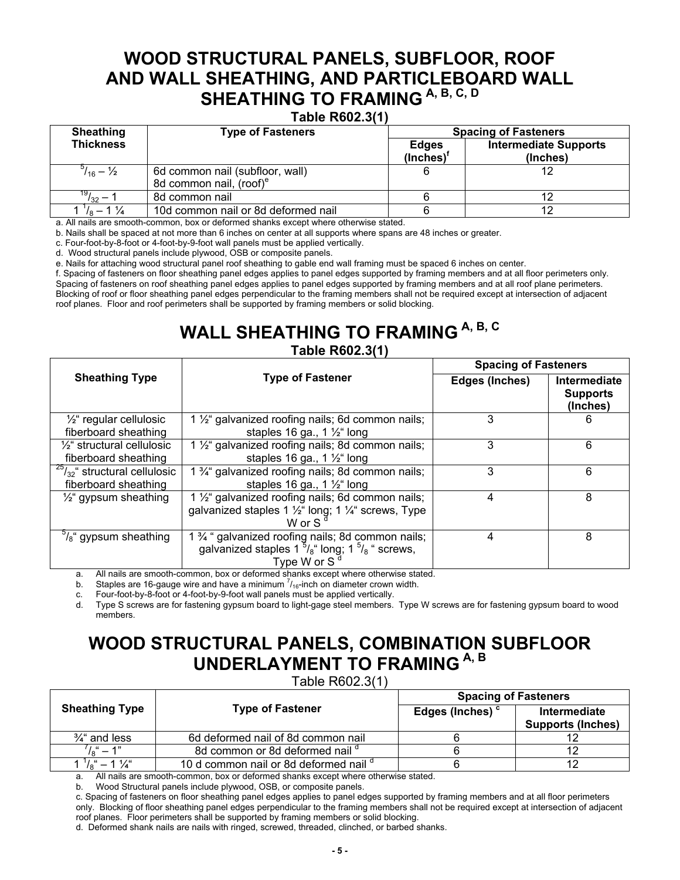### **WOOD STRUCTURAL PANELS, SUBFLOOR, ROOF AND WALL SHEATHING, AND PARTICLEBOARD WALL**  SHEATHING TO FRAMING A, B, C, D

#### **Table R602.3(1)**

| <b>Sheathing</b>              | <b>Type of Fasteners</b>            | <b>Spacing of Fasteners</b> |                                          |  |
|-------------------------------|-------------------------------------|-----------------------------|------------------------------------------|--|
| <b>Thickness</b>              |                                     | <b>Edges</b><br>(Inches)    | <b>Intermediate Supports</b><br>(Inches) |  |
| $^{5}/_{16} - \frac{1}{2}$    | 6d common nail (subfloor, wall)     |                             |                                          |  |
|                               | 8d common nail, (roof) <sup>e</sup> |                             |                                          |  |
| $\frac{19}{32}$ –             | 8d common nail                      |                             |                                          |  |
| $\frac{1}{2}$ – $\frac{1}{2}$ | 10d common nail or 8d deformed nail |                             |                                          |  |

a. All nails are smooth-common, box or deformed shanks except where otherwise stated.

b. Nails shall be spaced at not more than 6 inches on center at all supports where spans are 48 inches or greater.

c. Four-foot-by-8-foot or 4-foot-by-9-foot wall panels must be applied vertically.

d. Wood structural panels include plywood, OSB or composite panels.

e. Nails for attaching wood structural panel roof sheathing to gable end wall framing must be spaced 6 inches on center.

f. Spacing of fasteners on floor sheathing panel edges applies to panel edges supported by framing members and at all floor perimeters only. Spacing of fasteners on roof sheathing panel edges applies to panel edges supported by framing members and at all roof plane perimeters. Blocking of roof or floor sheathing panel edges perpendicular to the framing members shall not be required except at intersection of adjacent roof planes. Floor and roof perimeters shall be supported by framing members or solid blocking.

### WALL SHEATHING TO FRAMING A, B, C **Table R602.3(1)**

|                                     |                                                                                                                                                          | <b>Spacing of Fasteners</b> |                                             |  |
|-------------------------------------|----------------------------------------------------------------------------------------------------------------------------------------------------------|-----------------------------|---------------------------------------------|--|
| <b>Sheathing Type</b>               | <b>Type of Fastener</b>                                                                                                                                  | Edges (Inches)              | Intermediate<br><b>Supports</b><br>(Inches) |  |
| $\frac{1}{2}$ regular cellulosic    | 1 1/ <sub>2</sub> " galvanized roofing nails; 6d common nails;                                                                                           | 3                           | 6                                           |  |
| fiberboard sheathing                | staples 16 ga., 1 $\frac{1}{2}$ long                                                                                                                     |                             |                                             |  |
| $\frac{1}{2}$ structural cellulosic | 1 1/ <sub>2</sub> " galvanized roofing nails; 8d common nails;                                                                                           | 3                           | 6                                           |  |
| fiberboard sheathing                | staples 16 ga., 1 $\frac{1}{2}$ long                                                                                                                     |                             |                                             |  |
| $25/32$ " structural cellulosic     | 1 <sup>3</sup> / <sub>4</sub> galvanized roofing nails; 8d common nails;                                                                                 | 3                           | 6                                           |  |
| fiberboard sheathing                | staples 16 ga., 1 $\frac{1}{2}$ long                                                                                                                     |                             |                                             |  |
| $\frac{1}{2}$ gypsum sheathing      | 1 1/ <sub>2</sub> " galvanized roofing nails; 6d common nails;<br>galvanized staples 1 $\frac{1}{2}$ " long; 1 $\frac{1}{4}$ " screws, Type<br>W or $Sd$ | 4                           | 8                                           |  |
| $\frac{9}{8}$ gypsum sheathing      | 1 % " galvanized roofing nails; 8d common nails;<br>galvanized staples $1\frac{5}{6}$ long; $1\frac{5}{6}$ screws,<br>Type W or S <sup>d</sup>           | 4                           | 8                                           |  |

a. All nails are smooth-common, box or deformed shanks except where otherwise stated.

b. Staples are 16-gauge wire and have a minimum  $\frac{7}{16}$ -inch on diameter crown width.

c. Four-foot-by-8-foot or 4-foot-by-9-foot wall panels must be applied vertically.

d. Type S screws are for fastening gypsum board to light-gage steel members. Type W screws are for fastening gypsum board to wood members.

### **WOOD STRUCTURAL PANELS, COMBINATION SUBFLOOR UNDERLAYMENT TO FRAMING A, B**

Table R602.3(1)

|                        |                                                   | <b>Spacing of Fasteners</b> |                          |  |
|------------------------|---------------------------------------------------|-----------------------------|--------------------------|--|
| <b>Sheathing Type</b>  | <b>Type of Fastener</b>                           | Edges (Inches) <sup>c</sup> | Intermediate             |  |
|                        |                                                   |                             | <b>Supports (Inches)</b> |  |
| $\frac{3}{4}$ and less | 6d deformed nail of 8d common nail                |                             |                          |  |
| $\sqrt{6}$ " – 1"      | 8d common or 8d deformed nail d                   |                             |                          |  |
|                        | 10 d common nail or 8d deformed nail <sup>d</sup> |                             |                          |  |

All nails are smooth-common, box or deformed shanks except where otherwise stated.

b. Wood Structural panels include plywood, OSB, or composite panels.

c. Spacing of fasteners on floor sheathing panel edges applies to panel edges supported by framing members and at all floor perimeters only. Blocking of floor sheathing panel edges perpendicular to the framing members shall not be required except at intersection of adjacent roof planes. Floor perimeters shall be supported by framing members or solid blocking.

d. Deformed shank nails are nails with ringed, screwed, threaded, clinched, or barbed shanks.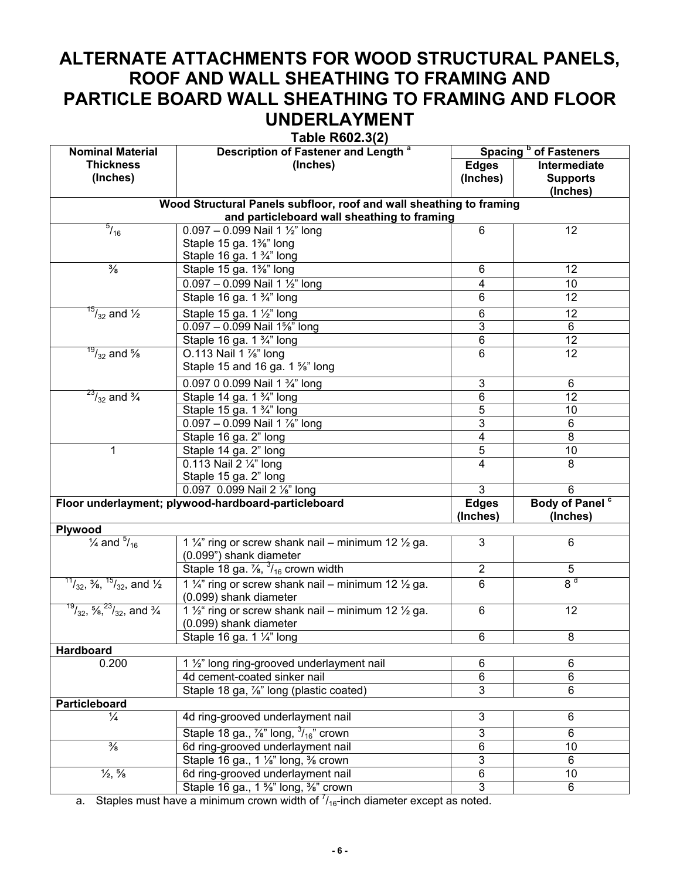### **ALTERNATE ATTACHMENTS FOR WOOD STRUCTURAL PANELS, ROOF AND WALL SHEATHING TO FRAMING AND PARTICLE BOARD WALL SHEATHING TO FRAMING AND FLOOR UNDERLAYMENT**

**Table R602.3(2)** 

| <b>Nominal Material</b>                                       | 140101100210(2)<br>Description of Fastener and Length <sup>a</sup>                                   | Spacing <sup>b</sup> of Fasteners |                            |  |
|---------------------------------------------------------------|------------------------------------------------------------------------------------------------------|-----------------------------------|----------------------------|--|
| <b>Thickness</b>                                              | (Inches)                                                                                             | <b>Edges</b>                      | Intermediate               |  |
| (Inches)                                                      |                                                                                                      | (Inches)                          | <b>Supports</b>            |  |
|                                                               |                                                                                                      |                                   | (Inches)                   |  |
|                                                               | Wood Structural Panels subfloor, roof and wall sheathing to framing                                  |                                   |                            |  |
|                                                               | and particleboard wall sheathing to framing                                                          |                                   |                            |  |
| $^{5}/_{16}$                                                  | $0.097 - 0.099$ Nail 1 1/2" long                                                                     | 6                                 | 12                         |  |
|                                                               | Staple 15 ga. 1%" long                                                                               |                                   |                            |  |
|                                                               | Staple 16 ga. 1 3/4" long                                                                            |                                   |                            |  |
| $\frac{3}{8}$                                                 | Staple 15 ga. 1%" long                                                                               | 6                                 | 12                         |  |
|                                                               | $0.097 - 0.099$ Nail 1 1/2" long                                                                     | 4                                 | 10                         |  |
|                                                               | Staple 16 ga. 1 3/4" long                                                                            | 6                                 | 12                         |  |
| $^{15}/_{32}$ and $\frac{1}{2}$                               | Staple 15 ga. 1 1/2" long                                                                            | 6                                 | 12                         |  |
|                                                               | 0.097 - 0.099 Nail 1%" long                                                                          | 3                                 | 6                          |  |
|                                                               | Staple 16 ga. 1 3/4" long                                                                            | $\overline{6}$                    | 12                         |  |
| $\frac{19}{32}$ and %                                         | O.113 Nail 1 %" long                                                                                 | 6                                 | 12                         |  |
|                                                               | Staple 15 and 16 ga. 1 %" long                                                                       |                                   |                            |  |
|                                                               | 0.097 0 0.099 Nail 1 3/4" long                                                                       | 3                                 | 6                          |  |
| $^{23}/_{32}$ and $\frac{3}{4}$                               | Staple 14 ga. 1 3/4" long                                                                            | 6                                 | 12                         |  |
|                                                               | Staple 15 ga. 1 3/4" long                                                                            | $\overline{5}$                    | 10 <sup>1</sup>            |  |
|                                                               | $0.097 - 0.099$ Nail 1 %" long                                                                       | $\overline{3}$                    | 6                          |  |
|                                                               | Staple 16 ga. 2" long                                                                                | 4                                 | 8                          |  |
| 1                                                             | Staple 14 ga. 2" long                                                                                | $\overline{5}$                    | 10                         |  |
|                                                               | 0.113 Nail $2\frac{1}{4}$ long                                                                       | 4                                 | 8                          |  |
|                                                               | Staple 15 ga. 2" long                                                                                |                                   |                            |  |
|                                                               | 0.097 0.099 Nail 2 1/8" long                                                                         | 3                                 | 6                          |  |
|                                                               | Floor underlayment; plywood-hardboard-particleboard                                                  | <b>Edges</b>                      | Body of Panel <sup>c</sup> |  |
|                                                               |                                                                                                      | (Inches)                          | (Inches)                   |  |
| Plywood                                                       |                                                                                                      |                                   |                            |  |
| $\frac{1}{4}$ and $\frac{5}{16}$                              | 1 $\frac{1}{4}$ " ring or screw shank nail – minimum 12 $\frac{1}{2}$ ga.<br>(0.099") shank diameter | 3                                 | 6                          |  |
|                                                               | Staple 18 ga. $\frac{7}{8}$ , $\frac{3}{16}$ crown width                                             | $\overline{2}$                    | 5                          |  |
| $^{11}/_{32}$ , $^{3}/_{8}$ , $^{15}/_{32}$ , and $^{1}/_{2}$ | 1 $\frac{1}{4}$ " ring or screw shank nail – minimum 12 $\frac{1}{2}$ ga.                            | 6                                 | 8 <sup>d</sup>             |  |
|                                                               | (0.099) shank diameter                                                                               |                                   |                            |  |
| $^{19}/_{32}$ , $^{5}/_{8}$ , $^{23}/_{32}$ , and $^{3}/_{4}$ | 1 1/ <sub>2</sub> " ring or screw shank nail – minimum 12 1/2 ga.                                    | 6                                 | 12                         |  |
|                                                               | (0.099) shank diameter                                                                               |                                   |                            |  |
|                                                               | Staple 16 ga. 1 1/4" long                                                                            | 6                                 | 8                          |  |
| <b>Hardboard</b>                                              |                                                                                                      |                                   |                            |  |
| 0.200                                                         | 1 1/2" long ring-grooved underlayment nail                                                           | 6                                 | 6                          |  |
|                                                               | 4d cement-coated sinker nail                                                                         | 6                                 | 6                          |  |
|                                                               | Staple 18 ga, 1/8" long (plastic coated)                                                             | 3                                 | 6                          |  |
| Particleboard                                                 |                                                                                                      |                                   |                            |  |
| $\frac{1}{4}$                                                 | 4d ring-grooved underlayment nail                                                                    | 3                                 | 6                          |  |
|                                                               | Staple 18 ga., $\frac{7}{8}$ " long, $\frac{3}{16}$ " crown                                          | 3                                 | 6                          |  |
| $\frac{3}{8}$                                                 | 6d ring-grooved underlayment nail                                                                    | 6                                 | 10                         |  |
|                                                               | Staple 16 ga., 1 %" long, % crown                                                                    | 3                                 | 6                          |  |
| $\frac{1}{2}$ , $\frac{5}{8}$                                 |                                                                                                      |                                   |                            |  |
|                                                               | 6d ring-grooved underlayment nail                                                                    | $\overline{6}$                    | 10                         |  |

a. Staples must have a minimum crown width of  $\frac{7}{16}$ -inch diameter except as noted.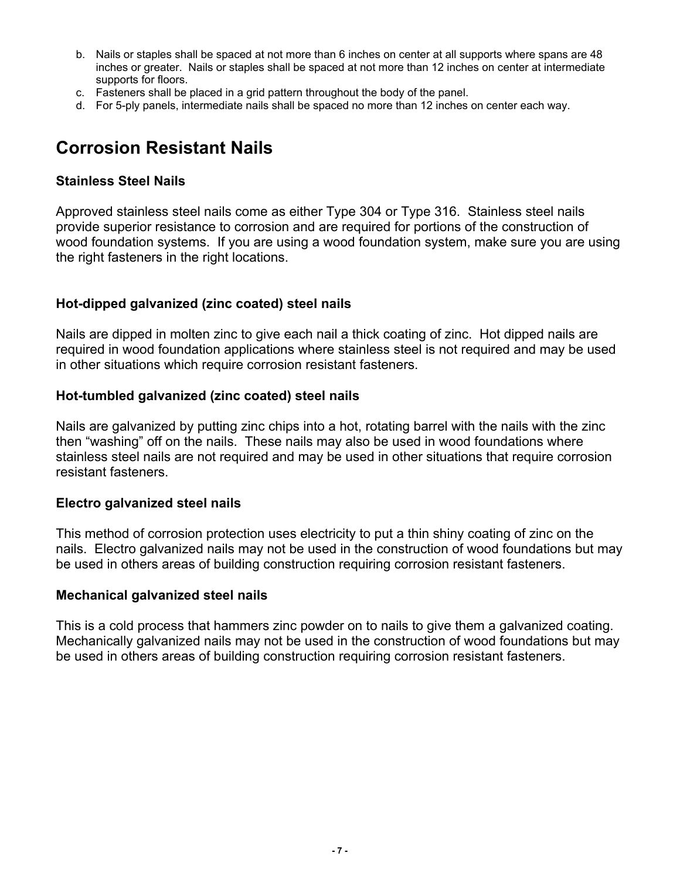- b. Nails or staples shall be spaced at not more than 6 inches on center at all supports where spans are 48 inches or greater. Nails or staples shall be spaced at not more than 12 inches on center at intermediate supports for floors.
- c. Fasteners shall be placed in a grid pattern throughout the body of the panel.
- d. For 5-ply panels, intermediate nails shall be spaced no more than 12 inches on center each way.

### **Corrosion Resistant Nails**

#### **Stainless Steel Nails**

Approved stainless steel nails come as either Type 304 or Type 316. Stainless steel nails provide superior resistance to corrosion and are required for portions of the construction of wood foundation systems. If you are using a wood foundation system, make sure you are using the right fasteners in the right locations.

#### **Hot-dipped galvanized (zinc coated) steel nails**

Nails are dipped in molten zinc to give each nail a thick coating of zinc. Hot dipped nails are required in wood foundation applications where stainless steel is not required and may be used in other situations which require corrosion resistant fasteners.

#### **Hot-tumbled galvanized (zinc coated) steel nails**

Nails are galvanized by putting zinc chips into a hot, rotating barrel with the nails with the zinc then "washing" off on the nails. These nails may also be used in wood foundations where stainless steel nails are not required and may be used in other situations that require corrosion resistant fasteners.

#### **Electro galvanized steel nails**

This method of corrosion protection uses electricity to put a thin shiny coating of zinc on the nails. Electro galvanized nails may not be used in the construction of wood foundations but may be used in others areas of building construction requiring corrosion resistant fasteners.

#### **Mechanical galvanized steel nails**

This is a cold process that hammers zinc powder on to nails to give them a galvanized coating. Mechanically galvanized nails may not be used in the construction of wood foundations but may be used in others areas of building construction requiring corrosion resistant fasteners.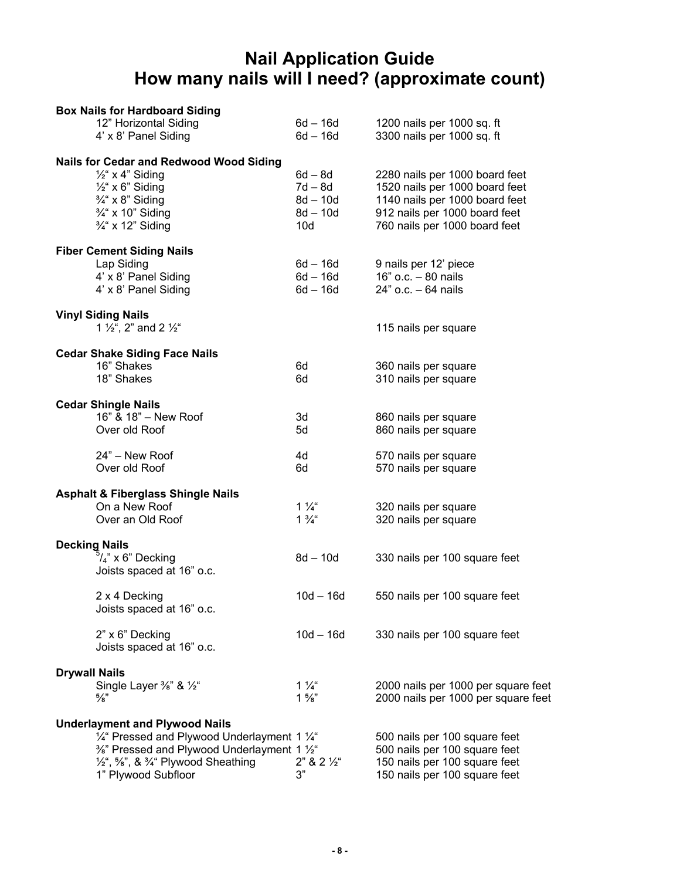### **Nail Application Guide How many nails will I need? (approximate count)**

| <b>Box Nails for Hardboard Siding</b>                                                                                                                                           |                                                       |                                                                                                                                                                      |
|---------------------------------------------------------------------------------------------------------------------------------------------------------------------------------|-------------------------------------------------------|----------------------------------------------------------------------------------------------------------------------------------------------------------------------|
| 12" Horizontal Siding                                                                                                                                                           | 6d – 16d                                              | 1200 nails per 1000 sq. ft                                                                                                                                           |
| 4' x 8' Panel Siding                                                                                                                                                            | $6d - 16d$                                            | 3300 nails per 1000 sq. ft                                                                                                                                           |
| <b>Nails for Cedar and Redwood Wood Siding</b><br>$\frac{1}{2}$ x 4" Siding<br>$\frac{1}{2}$ x 6" Siding<br>$\frac{3}{4}$ x 8" Siding<br>3/4" x 10" Siding<br>3/4" x 12" Siding | 6d – 8d<br>7d – 8d<br>$8d - 10d$<br>$8d - 10d$<br>10d | 2280 nails per 1000 board feet<br>1520 nails per 1000 board feet<br>1140 nails per 1000 board feet<br>912 nails per 1000 board feet<br>760 nails per 1000 board feet |
| <b>Fiber Cement Siding Nails</b>                                                                                                                                                |                                                       |                                                                                                                                                                      |
| Lap Siding<br>4' x 8' Panel Siding<br>4' x 8' Panel Siding                                                                                                                      | 6d – 16d<br>6d – 16d<br>$6d - 16d$                    | 9 nails per 12' piece<br>16" o.c. - 80 nails<br>$24"$ o.c. $-64$ nails                                                                                               |
| <b>Vinyl Siding Nails</b><br>1 $\frac{1}{2}$ , 2" and 2 $\frac{1}{2}$ "                                                                                                         |                                                       | 115 nails per square                                                                                                                                                 |
| <b>Cedar Shake Siding Face Nails</b>                                                                                                                                            |                                                       |                                                                                                                                                                      |
| 16" Shakes                                                                                                                                                                      | 6d                                                    | 360 nails per square                                                                                                                                                 |
| 18" Shakes                                                                                                                                                                      | 6d                                                    | 310 nails per square                                                                                                                                                 |
| <b>Cedar Shingle Nails</b>                                                                                                                                                      |                                                       |                                                                                                                                                                      |
| 16" & 18" - New Roof                                                                                                                                                            | 3d                                                    | 860 nails per square                                                                                                                                                 |
| Over old Roof                                                                                                                                                                   | 5d                                                    | 860 nails per square                                                                                                                                                 |
| 24" - New Roof                                                                                                                                                                  | 4d                                                    | 570 nails per square                                                                                                                                                 |
| Over old Roof                                                                                                                                                                   | 6d                                                    | 570 nails per square                                                                                                                                                 |
| <b>Asphalt &amp; Fiberglass Shingle Nails</b>                                                                                                                                   |                                                       |                                                                                                                                                                      |
| On a New Roof                                                                                                                                                                   | $1\frac{1}{4}$                                        | 320 nails per square                                                                                                                                                 |
| Over an Old Roof                                                                                                                                                                | $1\frac{3}{4}$ "                                      | 320 nails per square                                                                                                                                                 |
| <b>Decking Nails</b>                                                                                                                                                            |                                                       |                                                                                                                                                                      |
| $5/4$ " x 6" Decking                                                                                                                                                            | $8d - 10d$                                            | 330 nails per 100 square feet                                                                                                                                        |
| Joists spaced at 16" o.c.                                                                                                                                                       |                                                       |                                                                                                                                                                      |
| 2 x 4 Decking                                                                                                                                                                   | $10d - 16d$                                           | 550 nails per 100 square feet                                                                                                                                        |
| Joists spaced at 16" o.c.                                                                                                                                                       |                                                       |                                                                                                                                                                      |
| 2" x 6" Decking<br>Joists spaced at 16" o.c.                                                                                                                                    | $10d - 16d$                                           | 330 nails per 100 square feet                                                                                                                                        |
| <b>Drywall Nails</b>                                                                                                                                                            |                                                       |                                                                                                                                                                      |
| Single Layer %" & 1/2"                                                                                                                                                          | $1\frac{1}{4}$                                        | 2000 nails per 1000 per square feet                                                                                                                                  |
| $\frac{5}{8}$                                                                                                                                                                   | $1\frac{5}{8}$ "                                      | 2000 nails per 1000 per square feet                                                                                                                                  |
| <b>Underlayment and Plywood Nails</b>                                                                                                                                           |                                                       |                                                                                                                                                                      |
| 1/4" Pressed and Plywood Underlayment 1 1/4"                                                                                                                                    |                                                       | 500 nails per 100 square feet                                                                                                                                        |
| 3/ <sub>8</sub> " Pressed and Plywood Underlayment 1 1/ <sub>2</sub> "<br>$\frac{1}{2}$ , 5%", & $\frac{3}{4}$ " Plywood Sheathing                                              | $2" 8 2 \%$                                           | 500 nails per 100 square feet<br>150 nails per 100 square feet                                                                                                       |
| 1" Plywood Subfloor                                                                                                                                                             | 3"                                                    | 150 nails per 100 square feet                                                                                                                                        |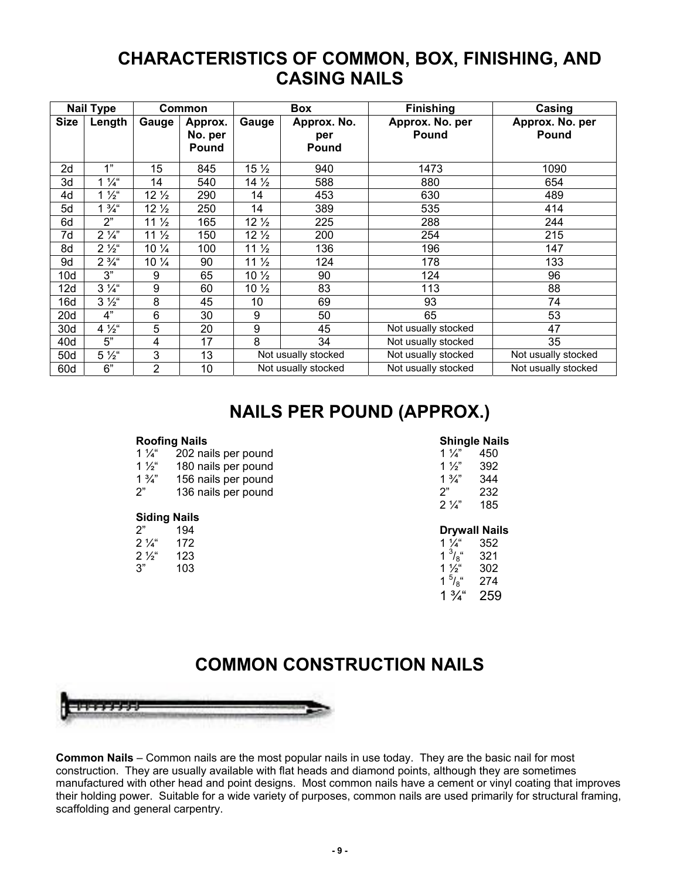### **CHARACTERISTICS OF COMMON, BOX, FINISHING, AND CASING NAILS**

|             | <b>Nail Type</b> |                 | Common                      |                 | Box                         | <b>Finishing</b>                | Casing                          |
|-------------|------------------|-----------------|-----------------------------|-----------------|-----------------------------|---------------------------------|---------------------------------|
| <b>Size</b> | Length           | Gauge           | Approx.<br>No. per<br>Pound | Gauge           | Approx. No.<br>per<br>Pound | Approx. No. per<br><b>Pound</b> | Approx. No. per<br><b>Pound</b> |
| 2d          | 1"               | 15              | 845                         | $15\frac{1}{2}$ | 940                         | 1473                            | 1090                            |
| 3d          | $1\frac{1}{4}$   | 14              | 540                         | $14\frac{1}{2}$ | 588                         | 880                             | 654                             |
| 4d          | $1\frac{1}{2}$   | $12\sqrt{2}$    | 290                         | 14              | 453                         | 630                             | 489                             |
| 5d          | $1\frac{3}{4}$ " | $12\frac{1}{2}$ | 250                         | 14              | 389                         | 535                             | 414                             |
| 6d          | 2"               | 11 <sub>2</sub> | 165                         | $12\frac{1}{2}$ | 225                         | 288                             | 244                             |
| 7d          | $2\frac{1}{4}$   | 11 <sub>2</sub> | 150                         | $12\frac{1}{2}$ | 200                         | 254                             | 215                             |
| 8d          | $2\frac{1}{2}$ " | $10\frac{1}{4}$ | 100                         | $11\frac{1}{2}$ | 136                         | 196                             | 147                             |
| 9d          | $2\frac{3}{4}$ " | $10\frac{1}{4}$ | 90                          | $11\frac{1}{2}$ | 124                         | 178                             | 133                             |
| 10d         | 3"               | 9               | 65                          | $10\frac{1}{2}$ | 90                          | 124                             | 96                              |
| 12d         | $3\frac{1}{4}$   | 9               | 60                          | $10\frac{1}{2}$ | 83                          | 113                             | 88                              |
| 16d         | $3\frac{1}{2}$   | 8               | 45                          | 10              | 69                          | 93                              | 74                              |
| 20d         | 4"               | 6               | 30                          | 9               | 50                          | 65                              | 53                              |
| 30d         | $4\frac{1}{2}$   | 5               | 20                          | 9               | 45                          | Not usually stocked             | 47                              |
| 40d         | 5"               | 4               | 17                          | 8               | 34                          | Not usually stocked             | 35                              |
| 50d         | $5\frac{1}{2}$   | 3               | 13                          |                 | Not usually stocked         | Not usually stocked             | Not usually stocked             |
| 60d         | 6"               | 2               | 10                          |                 | Not usually stocked         | Not usually stocked             | Not usually stocked             |

## **NAILS PER POUND (APPROX.)**

#### **Roofing Nails**

| $1\frac{1}{4}$ | 202 nails per pound |
|----------------|---------------------|
| $1\frac{1}{2}$ | 180 nails per pound |
| $1\frac{3}{4}$ | 156 nails per pound |
| 2"             | 136 nails per pound |

#### **Siding Nails**

| ን"             | 194 |
|----------------|-----|
| $2\frac{1}{4}$ | 172 |
| $2\frac{1}{2}$ | 123 |
| 3"             | 103 |

#### **Shingle Nails**

| 1 $\frac{1}{4}$ | 450 |
|-----------------|-----|
| 1 $\frac{1}{2}$ | 392 |
| $1\frac{3}{4}$  | 344 |
| ን"              | 232 |
| $2\frac{1}{4}$  | 185 |

#### **Drywall Nails**

| $1\frac{1}{4}$ | 352 |
|----------------|-----|
| $1^{3}/8$ "    | 321 |
| 1 %"           | 302 |
| $1^{5}/s^{4}$  | 274 |
| $1\frac{3}{4}$ | 259 |
|                |     |

### **COMMON CONSTRUCTION NAILS**



**Common Nails** – Common nails are the most popular nails in use today. They are the basic nail for most construction. They are usually available with flat heads and diamond points, although they are sometimes manufactured with other head and point designs. Most common nails have a cement or vinyl coating that improves their holding power. Suitable for a wide variety of purposes, common nails are used primarily for structural framing, scaffolding and general carpentry.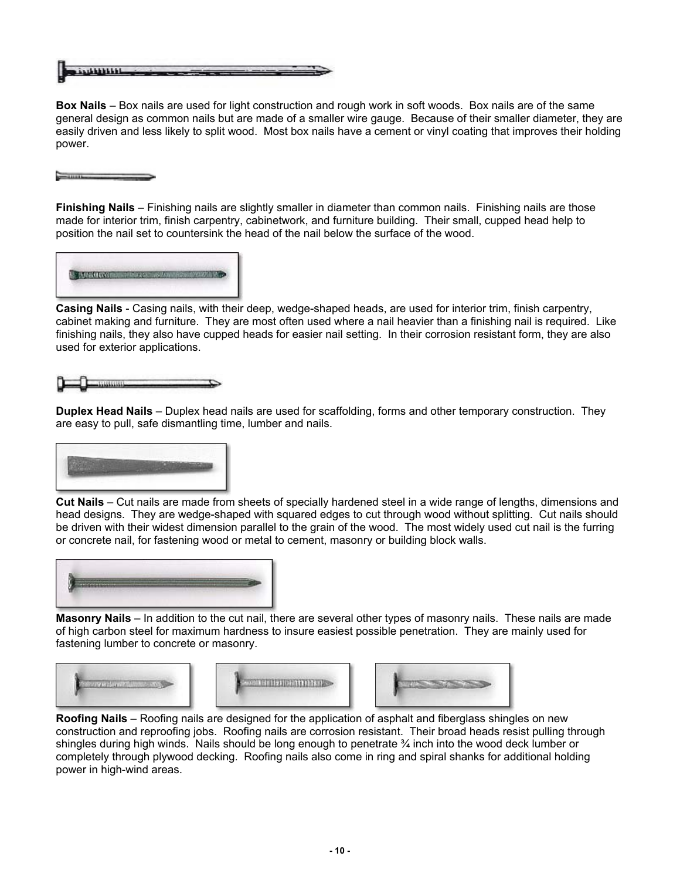$...$ 

**Box Nails** – Box nails are used for light construction and rough work in soft woods. Box nails are of the same general design as common nails but are made of a smaller wire gauge. Because of their smaller diameter, they are easily driven and less likely to split wood. Most box nails have a cement or vinyl coating that improves their holding power.

**Finishing Nails** – Finishing nails are slightly smaller in diameter than common nails. Finishing nails are those made for interior trim, finish carpentry, cabinetwork, and furniture building. Their small, cupped head help to position the nail set to countersink the head of the nail below the surface of the wood.



 $-$  11111  $-$ 

**Casing Nails** - Casing nails, with their deep, wedge-shaped heads, are used for interior trim, finish carpentry, cabinet making and furniture. They are most often used where a nail heavier than a finishing nail is required. Like finishing nails, they also have cupped heads for easier nail setting. In their corrosion resistant form, they are also used for exterior applications.



**Duplex Head Nails** – Duplex head nails are used for scaffolding, forms and other temporary construction. They are easy to pull, safe dismantling time, lumber and nails.



**Cut Nails** – Cut nails are made from sheets of specially hardened steel in a wide range of lengths, dimensions and head designs. They are wedge-shaped with squared edges to cut through wood without splitting. Cut nails should be driven with their widest dimension parallel to the grain of the wood. The most widely used cut nail is the furring or concrete nail, for fastening wood or metal to cement, masonry or building block walls.



**Masonry Nails** – In addition to the cut nail, there are several other types of masonry nails. These nails are made of high carbon steel for maximum hardness to insure easiest possible penetration. They are mainly used for fastening lumber to concrete or masonry.



**Roofing Nails** – Roofing nails are designed for the application of asphalt and fiberglass shingles on new construction and reproofing jobs. Roofing nails are corrosion resistant. Their broad heads resist pulling through shingles during high winds. Nails should be long enough to penetrate ¾ inch into the wood deck lumber or completely through plywood decking. Roofing nails also come in ring and spiral shanks for additional holding power in high-wind areas.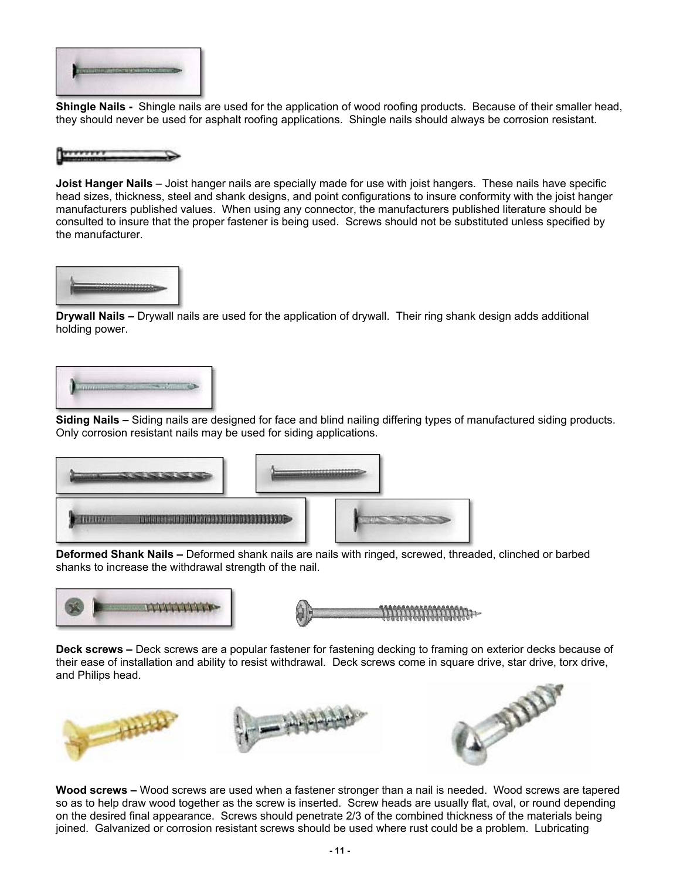

**Shingle Nails -** Shingle nails are used for the application of wood roofing products. Because of their smaller head, they should never be used for asphalt roofing applications. Shingle nails should always be corrosion resistant.



**Joist Hanger Nails** – Joist hanger nails are specially made for use with joist hangers. These nails have specific head sizes, thickness, steel and shank designs, and point configurations to insure conformity with the joist hanger manufacturers published values. When using any connector, the manufacturers published literature should be consulted to insure that the proper fastener is being used. Screws should not be substituted unless specified by the manufacturer.



**Drywall Nails –** Drywall nails are used for the application of drywall. Their ring shank design adds additional holding power.



**Siding Nails –** Siding nails are designed for face and blind nailing differing types of manufactured siding products. Only corrosion resistant nails may be used for siding applications.



**Deformed Shank Nails –** Deformed shank nails are nails with ringed, screwed, threaded, clinched or barbed shanks to increase the withdrawal strength of the nail.





**Deck screws –** Deck screws are a popular fastener for fastening decking to framing on exterior decks because of their ease of installation and ability to resist withdrawal. Deck screws come in square drive, star drive, torx drive, and Philips head.



**Wood screws –** Wood screws are used when a fastener stronger than a nail is needed. Wood screws are tapered so as to help draw wood together as the screw is inserted. Screw heads are usually flat, oval, or round depending on the desired final appearance. Screws should penetrate 2/3 of the combined thickness of the materials being joined. Galvanized or corrosion resistant screws should be used where rust could be a problem. Lubricating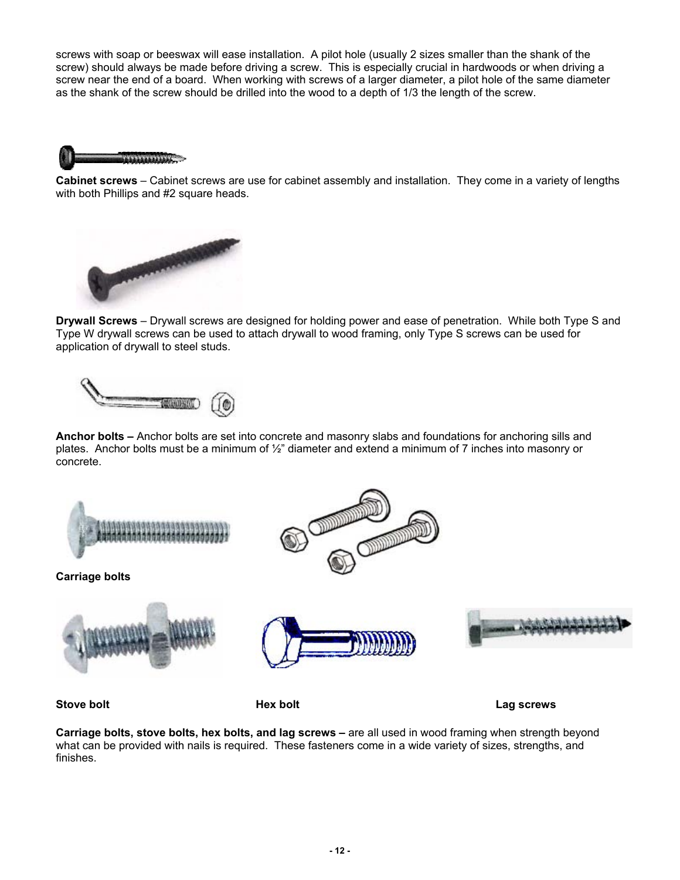screws with soap or beeswax will ease installation. A pilot hole (usually 2 sizes smaller than the shank of the screw) should always be made before driving a screw. This is especially crucial in hardwoods or when driving a screw near the end of a board. When working with screws of a larger diameter, a pilot hole of the same diameter as the shank of the screw should be drilled into the wood to a depth of 1/3 the length of the screw.



**Cabinet screws** – Cabinet screws are use for cabinet assembly and installation. They come in a variety of lengths with both Phillips and #2 square heads.



**Drywall Screws** – Drywall screws are designed for holding power and ease of penetration. While both Type S and Type W drywall screws can be used to attach drywall to wood framing, only Type S screws can be used for application of drywall to steel studs.



**Anchor bolts –** Anchor bolts are set into concrete and masonry slabs and foundations for anchoring sills and plates. Anchor bolts must be a minimum of ½" diameter and extend a minimum of 7 inches into masonry or concrete.



**Stove bolt Contract Contract Contract Contract Hex bolt Contract Contract Contract Contract Contract Contract Contract Contract Contract Contract Contract Contract Contract Contract Contract Contract Contract Contract** 

**Carriage bolts, stove bolts, hex bolts, and lag screws – are all used in wood framing when strength beyond** what can be provided with nails is required. These fasteners come in a wide variety of sizes, strengths, and finishes.